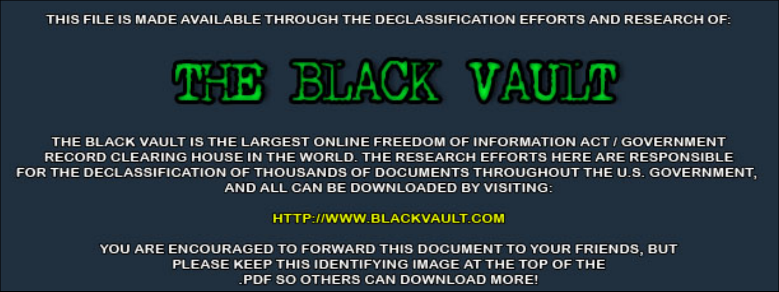THIS FILE IS MADE AVAILABLE THROUGH THE DECLASSIFICATION EFFORTS AND RESEARCH OF:



THE BLACK VAULT IS THE LARGEST ONLINE FREEDOM OF INFORMATION ACT / GOVERNMENT RECORD CLEARING HOUSE IN THE WORLD. THE RESEARCH EFFORTS HERE ARE RESPONSIBLE FOR THE DECLASSIFICATION OF THOUSANDS OF DOCUMENTS THROUGHOUT THE U.S. GOVERNMENT, AND ALL CAN BE DOWNLOADED BY VISITING:

**HTTP://WWW.BLACKVAULT.COM** 

YOU ARE ENCOURAGED TO FORWARD THIS DOCUMENT TO YOUR FRIENDS, BUT PLEASE KEEP THIS IDENTIFYING IMAGE AT THE TOP OF THE PDF SO OTHERS CAN DOWNLOAD MORE!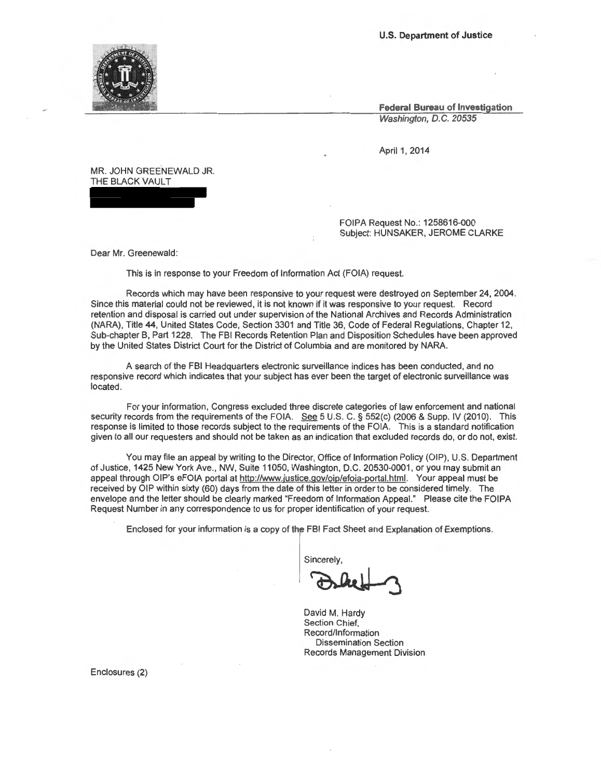U.S. Department of Justice

Federal Bureau of Investigation Washington, D.C. 20535

April 1, 2014

MR. JOHN GREENEWALD JR. THE BLACK VAULT

> FOIPA Request No.: 1258616-000 Subject: HUNSAKER, JEROME CLARKE

Dear Mr. Greenewald:

This is in response to your Freedom of Information Act (FOIA) request.

Records which may have been responsive to your request were destroyed on September 24, 2004. Since this material could not be reviewed, it is not known if it was responsive to your request. Record retention and disposal is carried out under supervision of the National Archives and Records Administration (NARA), Title 44, United States Code, Section 3301 and Title 36, Code of Federal Regulations, Chapter 12, Sub-chapter B, Part 1228. The FBI Records Retention Plan and Disposition Schedules have been approved by the United States District Court for the District of Columbia and are monitored by NARA.

A search of the FBI Headquarters electronic surveillance indices has been conducted, and no responsive record which indicates that your subject has ever been the target of electronic surveillance was located.

For your information, Congress excluded three discrete categories of law enforcement and national security records from the requirements of the FOIA. See 5 U.S. C. § 552(c) (2006 & Supp. IV (2010). This response is limited to those records subject to the requirements of the FOIA. This is a standard notification given to all our requesters and should not be taken as an indication that excluded records do, or do not, exist.

You may file an appeal by writing to the Director, Office of Information Policy (OIP), U.S. Department of Justice, 1425 New York Ave., NW, Suite 11050, Washington, D.C. 20530-0001 , or you may submit an appeal through OIP's eFOIA portal at http://www.justice.gov/oip/efoia-portal.html. Your appeal must be received by OIP within sixty (60) days from the date of this letter in order to be considered timely. The envelope and the letter should be clearly marked "Freedom of Information Appeal." Please cite the FOIPA Request Number in any correspondence to us for proper identification of your request.

Enclosed for your information is a copy of the FB! Fact Sheet and Explanation of Exemptions.<br>
Sincerely,<br>  $\begin{array}{|c|c|c|}\n\hline\n\text{Sinceely,} & \text{Sque} & \text{Sque} & \text{Sque} & \text{Sque} & \text{Sque} & \text{Sque} & \text{Sque} & \text{Sque} & \text{Sque} & \text{Sque} & \text{Sque} & \text{Sque} & \text{S$ 

Sincerely,

David M. Hardy Section Chief, Record/Information Dissemination Section Records Management Division

Enclosures (2)

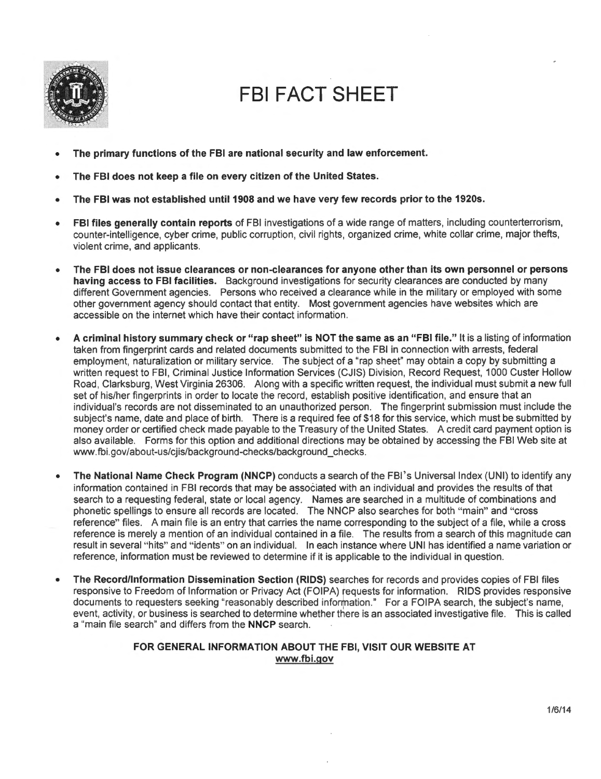

# **FBI FACT SHEET**

- **The primary functions of the FBI are national security and law enforcement.**
- **The FBI does not keep a file on every citizen of the United States.**
- **The FBI was not established until1908 and we have very few records prior to the 1920s.**
- **FBI files generally contain reports** of FBI investigations of a wide range of matters, including counterterrorism, counter-intelligence, cyber crime, public corruption, civil rights, organized crime, white collar crime, major thefts, violent crime, and applicants.
- **The FBI does not issue clearances or non-clearances for anyone other than its own personnel or persons having access to FBI facilities.** Background investigations for security clearances are conducted by many different Government agencies. Persons who received a clearance while in the military or employed with some other government agency should contact that entity. Most government agencies have websites which are accessible on the internet which have their contact information.
- **A criminal history summary check or "rap sheet" is NOT the same as an "FBI file."** It is a listing of information taken from fingerprint cards and related documents submitted to the FBI in connection with arrests, federal employment, naturalization or military service. The subject of a "rap sheet" may obtain a copy by submitting a written request to FBI, Criminal Justice Information Services (CJIS) Division, Record Request, 1000 Custer Hollow Road, Clarksburg, West Virginia 26306. Along with a specific written request, the individual must submit a new full set of his/her fingerprints in order to locate the record, establish positive identification, and ensure that an individual's records are not disseminated to an unauthorized person. The fingerprint submission must include the subject's name, date and place of birth. There is a required fee of \$18 for this service, which must be submitted by money order or certified check made payable to the Treasury of the United States. A credit card payment option is also available. Forms for this option and additional directions may be obtained by accessing the FBI Web site at www.fbi.gov/about-us/cjis/background-checks/background\_checks.
- **The National Name Check Program (NNCP)** conducts a search of the FBI's Universal Index (UNI) to identify any information contained in FBI records that may be associated with an individual and provides the results of that search to a requesting federal, state or local agency. Names are searched in a multitude of combinations and phonetic spellings to ensure all records are located. The NNCP also searches for both "main" and "cross reference" files. A main file is an entry that carries the name corresponding to the subject of a file, while a cross reference is merely a mention of an individual contained in a file. The results from a search of this magnitude can result in several "hits" and "idents" on an individual. In each instance where UNI has identified a name variation or reference, information must be reviewed to determine if it is applicable to the individual in question.
- **The Record/Information Dissemination Section (RIDS)** searches for records and provides copies of FBI files responsive to Freedom of Information or Privacy Act (FOIPA) requests for information. RIDS provides responsive documents to requesters seeking "reasonably described information." For a FOIPA search, the subject's name, event, activity, or business is searched to determine whether there is an associated investigative file. This is called a "main file search" and differs from the **NNCP** search.

## **FOR GENERAL INFORMATION ABOUT THE FBI, VISIT OUR WEBSITE AT www.fbi.gov**